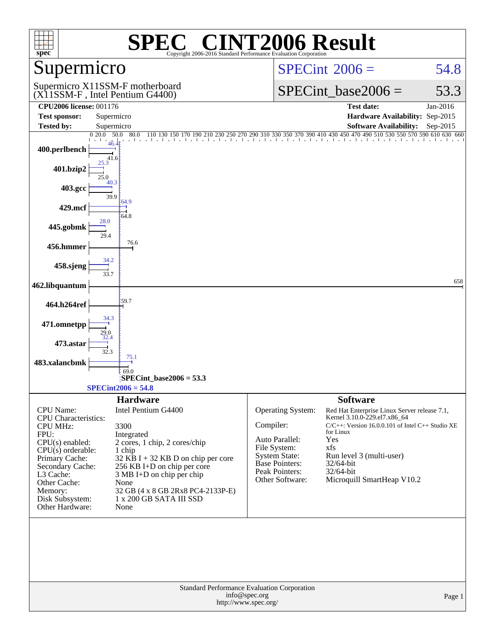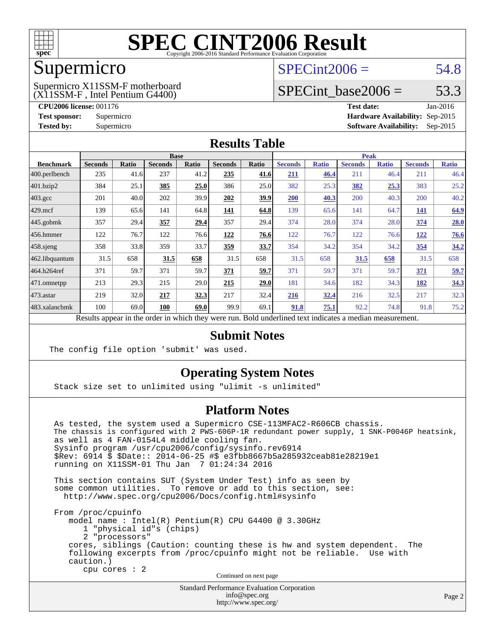

#### Supermicro

#### (X11SSM-F , Intel Pentium G4400) Supermicro X11SSM-F motherboard

 $SPECint2006 = 54.8$  $SPECint2006 = 54.8$ 

### SPECint base2006 =  $53.3$

**[CPU2006 license:](http://www.spec.org/auto/cpu2006/Docs/result-fields.html#CPU2006license)** 001176 **[Test date:](http://www.spec.org/auto/cpu2006/Docs/result-fields.html#Testdate)** Jan-2016 **[Test sponsor:](http://www.spec.org/auto/cpu2006/Docs/result-fields.html#Testsponsor)** Supermicro **[Hardware Availability:](http://www.spec.org/auto/cpu2006/Docs/result-fields.html#HardwareAvailability)** Sep-2015 **[Tested by:](http://www.spec.org/auto/cpu2006/Docs/result-fields.html#Testedby)** Supermicro **Supermicro [Software Availability:](http://www.spec.org/auto/cpu2006/Docs/result-fields.html#SoftwareAvailability)** Sep-2015

#### **[Results Table](http://www.spec.org/auto/cpu2006/Docs/result-fields.html#ResultsTable)**

|                    | <b>Base</b>    |       |                |       |                |                           | <b>Peak</b>    |              |                |              |                |              |
|--------------------|----------------|-------|----------------|-------|----------------|---------------------------|----------------|--------------|----------------|--------------|----------------|--------------|
| <b>Benchmark</b>   | <b>Seconds</b> | Ratio | <b>Seconds</b> | Ratio | <b>Seconds</b> | Ratio                     | <b>Seconds</b> | <b>Ratio</b> | <b>Seconds</b> | <b>Ratio</b> | <b>Seconds</b> | <b>Ratio</b> |
| 400.perlbench      | 235            | 41.6  | 237            | 41.2  | 235            | 41.6                      | 211            | 46.4         | 211            | 46.4         | 211            | 46.4         |
| 401.bzip2          | 384            | 25.1  | 385            | 25.0  | 386            | 25.0                      | 382            | 25.3         | 382            | 25.3         | 383            | 25.2         |
| $403.\mathrm{gcc}$ | 201            | 40.0  | 202            | 39.9  | 202            | <u>39.9</u>               | 200            | 40.3         | 200            | 40.3         | 200            | 40.2         |
| $429$ .mcf         | 139            | 65.6  | 141            | 64.8  | <u>141</u>     | 64.8                      | 139            | 65.6         | 141            | 64.7         | <u>141</u>     | 64.9         |
| $445$ .gobmk       | 357            | 29.4  | 357            | 29.4  | 357            | 29.4                      | 374            | 28.0         | 374            | 28.0         | 374            | 28.0         |
| 456.hmmer          | 122            | 76.7  | 122            | 76.6  | 122            | 76.6                      | 122            | 76.7         | 122            | 76.6         | 122            | 76.6         |
| $458$ .sjeng       | 358            | 33.8  | 359            | 33.7  | <u>359</u>     | 33.7                      | 354            | 34.2         | 354            | 34.2         | 354            | 34.2         |
| 462.libquantum     | 31.5           | 658   | 31.5           | 658   | 31.5           | 658                       | 31.5           | 658          | 31.5           | 658          | 31.5           | 658          |
| 464.h264ref        | 371            | 59.7  | 371            | 59.7  | 371            | 59.7                      | 371            | 59.7         | 371            | 59.7         | 371            | 59.7         |
| 471.omnetpp        | 213            | 29.3  | 215            | 29.0  | 215            | 29.0                      | 181            | 34.6         | 182            | 34.3         | 182            | 34.3         |
| $473.$ astar       | 219            | 32.0  | 217            | 32.3  | 217            | 32.4                      | 216            | 32.4         | 216            | 32.5         | 217            | 32.3         |
| 483.xalancbmk      | 100            | 69.0  | 100            | 69.0  | 99.9           | 69.1                      | 91.8           | 75.1         | 92.2           | 74.8         | 91.8           | 75.2         |
| $\mathbf{r}$       | $\mathbf{1}$ . |       |                |       |                | $\mathbf{r}$ $\mathbf{r}$ | $1 - 1$        |              | $\cdot$        |              |                |              |

Results appear in the [order in which they were run.](http://www.spec.org/auto/cpu2006/Docs/result-fields.html#RunOrder) Bold underlined text [indicates a median measurement.](http://www.spec.org/auto/cpu2006/Docs/result-fields.html#Median)

#### **[Submit Notes](http://www.spec.org/auto/cpu2006/Docs/result-fields.html#SubmitNotes)**

The config file option 'submit' was used.

#### **[Operating System Notes](http://www.spec.org/auto/cpu2006/Docs/result-fields.html#OperatingSystemNotes)**

Stack size set to unlimited using "ulimit -s unlimited"

#### **[Platform Notes](http://www.spec.org/auto/cpu2006/Docs/result-fields.html#PlatformNotes)**

 As tested, the system used a Supermicro CSE-113MFAC2-R606CB chassis. The chassis is configured with 2 PWS-606P-1R redundant power supply, 1 SNK-P0046P heatsink, as well as 4 FAN-0154L4 middle cooling fan. Sysinfo program /usr/cpu2006/config/sysinfo.rev6914 \$Rev: 6914 \$ \$Date:: 2014-06-25 #\$ e3fbb8667b5a285932ceab81e28219e1 running on X11SSM-01 Thu Jan 7 01:24:34 2016 This section contains SUT (System Under Test) info as seen by some common utilities. To remove or add to this section, see: <http://www.spec.org/cpu2006/Docs/config.html#sysinfo>

 From /proc/cpuinfo model name : Intel(R) Pentium(R) CPU G4400 @ 3.30GHz 1 "physical id"s (chips) 2 "processors" cores, siblings (Caution: counting these is hw and system dependent. The following excerpts from /proc/cpuinfo might not be reliable. Use with caution.) cpu cores : 2

Continued on next page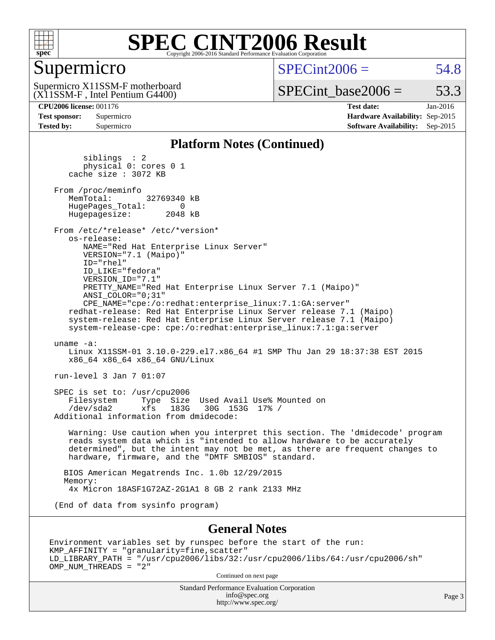

### Supermicro

 $SPECint2006 = 54.8$  $SPECint2006 = 54.8$ 

(X11SSM-F , Intel Pentium G4400) Supermicro X11SSM-F motherboard SPECint base2006 =  $53.3$ 

**[Tested by:](http://www.spec.org/auto/cpu2006/Docs/result-fields.html#Testedby)** Supermicro **[Software Availability:](http://www.spec.org/auto/cpu2006/Docs/result-fields.html#SoftwareAvailability)** Sep-2015

**[CPU2006 license:](http://www.spec.org/auto/cpu2006/Docs/result-fields.html#CPU2006license)** 001176 **[Test date:](http://www.spec.org/auto/cpu2006/Docs/result-fields.html#Testdate)** Jan-2016 **[Test sponsor:](http://www.spec.org/auto/cpu2006/Docs/result-fields.html#Testsponsor)** Supermicro **[Hardware Availability:](http://www.spec.org/auto/cpu2006/Docs/result-fields.html#HardwareAvailability)** Sep-2015

#### **[Platform Notes \(Continued\)](http://www.spec.org/auto/cpu2006/Docs/result-fields.html#PlatformNotes)**

 siblings : 2 physical 0: cores 0 1 cache size : 3072 KB From /proc/meminfo<br>MemTotal: 32769340 kB HugePages\_Total: 0<br>Hugepagesize: 2048 kB Hugepagesize: From /etc/\*release\* /etc/\*version\* os-release: NAME="Red Hat Enterprise Linux Server" VERSION="7.1 (Maipo)" ID="rhel" ID\_LIKE="fedora" VERSION\_ID="7.1" PRETTY\_NAME="Red Hat Enterprise Linux Server 7.1 (Maipo)" ANSI\_COLOR="0;31" CPE\_NAME="cpe:/o:redhat:enterprise\_linux:7.1:GA:server" redhat-release: Red Hat Enterprise Linux Server release 7.1 (Maipo) system-release: Red Hat Enterprise Linux Server release 7.1 (Maipo) system-release-cpe: cpe:/o:redhat:enterprise\_linux:7.1:ga:server uname -a: Linux X11SSM-01 3.10.0-229.el7.x86\_64 #1 SMP Thu Jan 29 18:37:38 EST 2015 x86\_64 x86\_64 x86\_64 GNU/Linux run-level 3 Jan 7 01:07 SPEC is set to: /usr/cpu2006 Filesystem Type Size Used Avail Use% Mounted on<br>
/dev/sda2 xfs 183G 30G 153G 17% /  $xfs = 183G - 30G - 153G - 17%$  Additional information from dmidecode: Warning: Use caution when you interpret this section. The 'dmidecode' program reads system data which is "intended to allow hardware to be accurately determined", but the intent may not be met, as there are frequent changes to hardware, firmware, and the "DMTF SMBIOS" standard. BIOS American Megatrends Inc. 1.0b 12/29/2015 Memory: 4x Micron 18ASF1G72AZ-2G1A1 8 GB 2 rank 2133 MHz (End of data from sysinfo program) **[General Notes](http://www.spec.org/auto/cpu2006/Docs/result-fields.html#GeneralNotes)**

Environment variables set by runspec before the start of the run: KMP\_AFFINITY = "granularity=fine,scatter" LD\_LIBRARY\_PATH = "/usr/cpu2006/libs/32:/usr/cpu2006/libs/64:/usr/cpu2006/sh" OMP\_NUM\_THREADS = "2"

Continued on next page

Standard Performance Evaluation Corporation [info@spec.org](mailto:info@spec.org) <http://www.spec.org/>

Page 3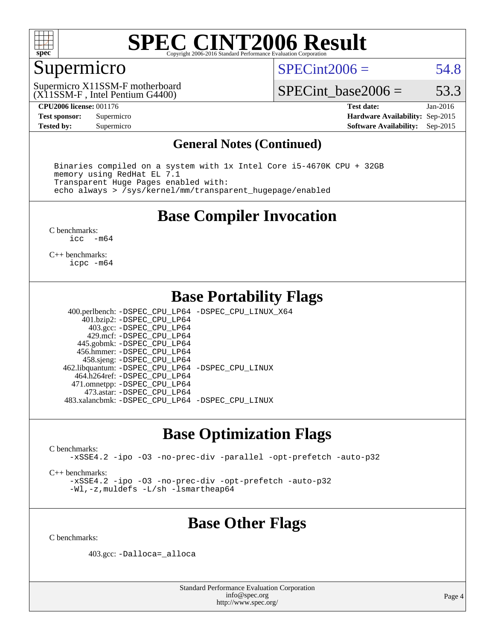

#### Supermicro

 $SPECint2006 = 54.8$  $SPECint2006 = 54.8$ 

(X11SSM-F , Intel Pentium G4400) Supermicro X11SSM-F motherboard

SPECint base2006 =  $53.3$ 

**[CPU2006 license:](http://www.spec.org/auto/cpu2006/Docs/result-fields.html#CPU2006license)** 001176 **[Test date:](http://www.spec.org/auto/cpu2006/Docs/result-fields.html#Testdate)** Jan-2016 **[Test sponsor:](http://www.spec.org/auto/cpu2006/Docs/result-fields.html#Testsponsor)** Supermicro **[Hardware Availability:](http://www.spec.org/auto/cpu2006/Docs/result-fields.html#HardwareAvailability)** Sep-2015 **[Tested by:](http://www.spec.org/auto/cpu2006/Docs/result-fields.html#Testedby)** Supermicro **Supermicro [Software Availability:](http://www.spec.org/auto/cpu2006/Docs/result-fields.html#SoftwareAvailability)** Sep-2015

#### **[General Notes \(Continued\)](http://www.spec.org/auto/cpu2006/Docs/result-fields.html#GeneralNotes)**

 Binaries compiled on a system with 1x Intel Core i5-4670K CPU + 32GB memory using RedHat EL 7.1 Transparent Huge Pages enabled with: echo always > /sys/kernel/mm/transparent\_hugepage/enabled

#### **[Base Compiler Invocation](http://www.spec.org/auto/cpu2006/Docs/result-fields.html#BaseCompilerInvocation)**

[C benchmarks](http://www.spec.org/auto/cpu2006/Docs/result-fields.html#Cbenchmarks):<br> $\frac{1}{2}$ cc  $-m64$ 

[C++ benchmarks:](http://www.spec.org/auto/cpu2006/Docs/result-fields.html#CXXbenchmarks) [icpc -m64](http://www.spec.org/cpu2006/results/res2016q1/cpu2006-20160107-38629.flags.html#user_CXXbase_intel_icpc_64bit_fc66a5337ce925472a5c54ad6a0de310)

#### **[Base Portability Flags](http://www.spec.org/auto/cpu2006/Docs/result-fields.html#BasePortabilityFlags)**

 400.perlbench: [-DSPEC\\_CPU\\_LP64](http://www.spec.org/cpu2006/results/res2016q1/cpu2006-20160107-38629.flags.html#b400.perlbench_basePORTABILITY_DSPEC_CPU_LP64) [-DSPEC\\_CPU\\_LINUX\\_X64](http://www.spec.org/cpu2006/results/res2016q1/cpu2006-20160107-38629.flags.html#b400.perlbench_baseCPORTABILITY_DSPEC_CPU_LINUX_X64) 401.bzip2: [-DSPEC\\_CPU\\_LP64](http://www.spec.org/cpu2006/results/res2016q1/cpu2006-20160107-38629.flags.html#suite_basePORTABILITY401_bzip2_DSPEC_CPU_LP64) 403.gcc: [-DSPEC\\_CPU\\_LP64](http://www.spec.org/cpu2006/results/res2016q1/cpu2006-20160107-38629.flags.html#suite_basePORTABILITY403_gcc_DSPEC_CPU_LP64) 429.mcf: [-DSPEC\\_CPU\\_LP64](http://www.spec.org/cpu2006/results/res2016q1/cpu2006-20160107-38629.flags.html#suite_basePORTABILITY429_mcf_DSPEC_CPU_LP64) 445.gobmk: [-DSPEC\\_CPU\\_LP64](http://www.spec.org/cpu2006/results/res2016q1/cpu2006-20160107-38629.flags.html#suite_basePORTABILITY445_gobmk_DSPEC_CPU_LP64) 456.hmmer: [-DSPEC\\_CPU\\_LP64](http://www.spec.org/cpu2006/results/res2016q1/cpu2006-20160107-38629.flags.html#suite_basePORTABILITY456_hmmer_DSPEC_CPU_LP64) 458.sjeng: [-DSPEC\\_CPU\\_LP64](http://www.spec.org/cpu2006/results/res2016q1/cpu2006-20160107-38629.flags.html#suite_basePORTABILITY458_sjeng_DSPEC_CPU_LP64) 462.libquantum: [-DSPEC\\_CPU\\_LP64](http://www.spec.org/cpu2006/results/res2016q1/cpu2006-20160107-38629.flags.html#suite_basePORTABILITY462_libquantum_DSPEC_CPU_LP64) [-DSPEC\\_CPU\\_LINUX](http://www.spec.org/cpu2006/results/res2016q1/cpu2006-20160107-38629.flags.html#b462.libquantum_baseCPORTABILITY_DSPEC_CPU_LINUX) 464.h264ref: [-DSPEC\\_CPU\\_LP64](http://www.spec.org/cpu2006/results/res2016q1/cpu2006-20160107-38629.flags.html#suite_basePORTABILITY464_h264ref_DSPEC_CPU_LP64) 471.omnetpp: [-DSPEC\\_CPU\\_LP64](http://www.spec.org/cpu2006/results/res2016q1/cpu2006-20160107-38629.flags.html#suite_basePORTABILITY471_omnetpp_DSPEC_CPU_LP64) 473.astar: [-DSPEC\\_CPU\\_LP64](http://www.spec.org/cpu2006/results/res2016q1/cpu2006-20160107-38629.flags.html#suite_basePORTABILITY473_astar_DSPEC_CPU_LP64) 483.xalancbmk: [-DSPEC\\_CPU\\_LP64](http://www.spec.org/cpu2006/results/res2016q1/cpu2006-20160107-38629.flags.html#suite_basePORTABILITY483_xalancbmk_DSPEC_CPU_LP64) [-DSPEC\\_CPU\\_LINUX](http://www.spec.org/cpu2006/results/res2016q1/cpu2006-20160107-38629.flags.html#b483.xalancbmk_baseCXXPORTABILITY_DSPEC_CPU_LINUX)

### **[Base Optimization Flags](http://www.spec.org/auto/cpu2006/Docs/result-fields.html#BaseOptimizationFlags)**

[C benchmarks](http://www.spec.org/auto/cpu2006/Docs/result-fields.html#Cbenchmarks):

[-xSSE4.2](http://www.spec.org/cpu2006/results/res2016q1/cpu2006-20160107-38629.flags.html#user_CCbase_f-xSSE42_f91528193cf0b216347adb8b939d4107) [-ipo](http://www.spec.org/cpu2006/results/res2016q1/cpu2006-20160107-38629.flags.html#user_CCbase_f-ipo) [-O3](http://www.spec.org/cpu2006/results/res2016q1/cpu2006-20160107-38629.flags.html#user_CCbase_f-O3) [-no-prec-div](http://www.spec.org/cpu2006/results/res2016q1/cpu2006-20160107-38629.flags.html#user_CCbase_f-no-prec-div) [-parallel](http://www.spec.org/cpu2006/results/res2016q1/cpu2006-20160107-38629.flags.html#user_CCbase_f-parallel) [-opt-prefetch](http://www.spec.org/cpu2006/results/res2016q1/cpu2006-20160107-38629.flags.html#user_CCbase_f-opt-prefetch) [-auto-p32](http://www.spec.org/cpu2006/results/res2016q1/cpu2006-20160107-38629.flags.html#user_CCbase_f-auto-p32)

[C++ benchmarks:](http://www.spec.org/auto/cpu2006/Docs/result-fields.html#CXXbenchmarks)

[-xSSE4.2](http://www.spec.org/cpu2006/results/res2016q1/cpu2006-20160107-38629.flags.html#user_CXXbase_f-xSSE42_f91528193cf0b216347adb8b939d4107) [-ipo](http://www.spec.org/cpu2006/results/res2016q1/cpu2006-20160107-38629.flags.html#user_CXXbase_f-ipo) [-O3](http://www.spec.org/cpu2006/results/res2016q1/cpu2006-20160107-38629.flags.html#user_CXXbase_f-O3) [-no-prec-div](http://www.spec.org/cpu2006/results/res2016q1/cpu2006-20160107-38629.flags.html#user_CXXbase_f-no-prec-div) [-opt-prefetch](http://www.spec.org/cpu2006/results/res2016q1/cpu2006-20160107-38629.flags.html#user_CXXbase_f-opt-prefetch) [-auto-p32](http://www.spec.org/cpu2006/results/res2016q1/cpu2006-20160107-38629.flags.html#user_CXXbase_f-auto-p32) [-Wl,-z,muldefs](http://www.spec.org/cpu2006/results/res2016q1/cpu2006-20160107-38629.flags.html#user_CXXbase_link_force_multiple1_74079c344b956b9658436fd1b6dd3a8a) [-L/sh -lsmartheap64](http://www.spec.org/cpu2006/results/res2016q1/cpu2006-20160107-38629.flags.html#user_CXXbase_SmartHeap64_ed4ef857ce90951921efb0d91eb88472)

### **[Base Other Flags](http://www.spec.org/auto/cpu2006/Docs/result-fields.html#BaseOtherFlags)**

[C benchmarks](http://www.spec.org/auto/cpu2006/Docs/result-fields.html#Cbenchmarks):

403.gcc: [-Dalloca=\\_alloca](http://www.spec.org/cpu2006/results/res2016q1/cpu2006-20160107-38629.flags.html#b403.gcc_baseEXTRA_CFLAGS_Dalloca_be3056838c12de2578596ca5467af7f3)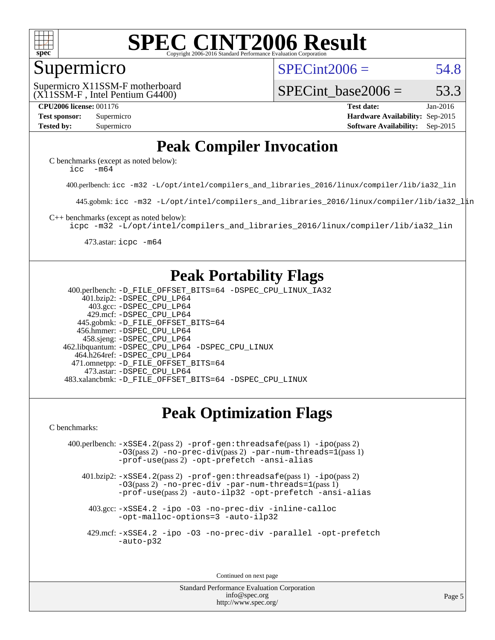

#### Supermicro

 $SPECint2006 = 54.8$  $SPECint2006 = 54.8$ 

(X11SSM-F , Intel Pentium G4400) Supermicro X11SSM-F motherboard

SPECint base2006 =  $53.3$ 

**[CPU2006 license:](http://www.spec.org/auto/cpu2006/Docs/result-fields.html#CPU2006license)** 001176 **[Test date:](http://www.spec.org/auto/cpu2006/Docs/result-fields.html#Testdate)** Jan-2016 **[Test sponsor:](http://www.spec.org/auto/cpu2006/Docs/result-fields.html#Testsponsor)** Supermicro **[Hardware Availability:](http://www.spec.org/auto/cpu2006/Docs/result-fields.html#HardwareAvailability)** Sep-2015 **[Tested by:](http://www.spec.org/auto/cpu2006/Docs/result-fields.html#Testedby)** Supermicro **Supermicro [Software Availability:](http://www.spec.org/auto/cpu2006/Docs/result-fields.html#SoftwareAvailability)** Sep-2015

### **[Peak Compiler Invocation](http://www.spec.org/auto/cpu2006/Docs/result-fields.html#PeakCompilerInvocation)**

[C benchmarks \(except as noted below\)](http://www.spec.org/auto/cpu2006/Docs/result-fields.html#Cbenchmarksexceptasnotedbelow): [icc -m64](http://www.spec.org/cpu2006/results/res2016q1/cpu2006-20160107-38629.flags.html#user_CCpeak_intel_icc_64bit_f346026e86af2a669e726fe758c88044)

400.perlbench: [icc -m32 -L/opt/intel/compilers\\_and\\_libraries\\_2016/linux/compiler/lib/ia32\\_lin](http://www.spec.org/cpu2006/results/res2016q1/cpu2006-20160107-38629.flags.html#user_peakCCLD400_perlbench_intel_icc_e10256ba5924b668798078a321b0cb3f)

445.gobmk: [icc -m32 -L/opt/intel/compilers\\_and\\_libraries\\_2016/linux/compiler/lib/ia32\\_lin](http://www.spec.org/cpu2006/results/res2016q1/cpu2006-20160107-38629.flags.html#user_peakCCLD445_gobmk_intel_icc_e10256ba5924b668798078a321b0cb3f)

[C++ benchmarks \(except as noted below\):](http://www.spec.org/auto/cpu2006/Docs/result-fields.html#CXXbenchmarksexceptasnotedbelow)

[icpc -m32 -L/opt/intel/compilers\\_and\\_libraries\\_2016/linux/compiler/lib/ia32\\_lin](http://www.spec.org/cpu2006/results/res2016q1/cpu2006-20160107-38629.flags.html#user_CXXpeak_intel_icpc_b4f50a394bdb4597aa5879c16bc3f5c5)

473.astar: [icpc -m64](http://www.spec.org/cpu2006/results/res2016q1/cpu2006-20160107-38629.flags.html#user_peakCXXLD473_astar_intel_icpc_64bit_fc66a5337ce925472a5c54ad6a0de310)

### **[Peak Portability Flags](http://www.spec.org/auto/cpu2006/Docs/result-fields.html#PeakPortabilityFlags)**

 400.perlbench: [-D\\_FILE\\_OFFSET\\_BITS=64](http://www.spec.org/cpu2006/results/res2016q1/cpu2006-20160107-38629.flags.html#user_peakPORTABILITY400_perlbench_file_offset_bits_64_438cf9856305ebd76870a2c6dc2689ab) [-DSPEC\\_CPU\\_LINUX\\_IA32](http://www.spec.org/cpu2006/results/res2016q1/cpu2006-20160107-38629.flags.html#b400.perlbench_peakCPORTABILITY_DSPEC_CPU_LINUX_IA32) 401.bzip2: [-DSPEC\\_CPU\\_LP64](http://www.spec.org/cpu2006/results/res2016q1/cpu2006-20160107-38629.flags.html#suite_peakPORTABILITY401_bzip2_DSPEC_CPU_LP64) 403.gcc: [-DSPEC\\_CPU\\_LP64](http://www.spec.org/cpu2006/results/res2016q1/cpu2006-20160107-38629.flags.html#suite_peakPORTABILITY403_gcc_DSPEC_CPU_LP64) 429.mcf: [-DSPEC\\_CPU\\_LP64](http://www.spec.org/cpu2006/results/res2016q1/cpu2006-20160107-38629.flags.html#suite_peakPORTABILITY429_mcf_DSPEC_CPU_LP64) 445.gobmk: [-D\\_FILE\\_OFFSET\\_BITS=64](http://www.spec.org/cpu2006/results/res2016q1/cpu2006-20160107-38629.flags.html#user_peakPORTABILITY445_gobmk_file_offset_bits_64_438cf9856305ebd76870a2c6dc2689ab) 456.hmmer: [-DSPEC\\_CPU\\_LP64](http://www.spec.org/cpu2006/results/res2016q1/cpu2006-20160107-38629.flags.html#suite_peakPORTABILITY456_hmmer_DSPEC_CPU_LP64) 458.sjeng: [-DSPEC\\_CPU\\_LP64](http://www.spec.org/cpu2006/results/res2016q1/cpu2006-20160107-38629.flags.html#suite_peakPORTABILITY458_sjeng_DSPEC_CPU_LP64) 462.libquantum: [-DSPEC\\_CPU\\_LP64](http://www.spec.org/cpu2006/results/res2016q1/cpu2006-20160107-38629.flags.html#suite_peakPORTABILITY462_libquantum_DSPEC_CPU_LP64) [-DSPEC\\_CPU\\_LINUX](http://www.spec.org/cpu2006/results/res2016q1/cpu2006-20160107-38629.flags.html#b462.libquantum_peakCPORTABILITY_DSPEC_CPU_LINUX) 464.h264ref: [-DSPEC\\_CPU\\_LP64](http://www.spec.org/cpu2006/results/res2016q1/cpu2006-20160107-38629.flags.html#suite_peakPORTABILITY464_h264ref_DSPEC_CPU_LP64) 471.omnetpp: [-D\\_FILE\\_OFFSET\\_BITS=64](http://www.spec.org/cpu2006/results/res2016q1/cpu2006-20160107-38629.flags.html#user_peakPORTABILITY471_omnetpp_file_offset_bits_64_438cf9856305ebd76870a2c6dc2689ab) 473.astar: [-DSPEC\\_CPU\\_LP64](http://www.spec.org/cpu2006/results/res2016q1/cpu2006-20160107-38629.flags.html#suite_peakPORTABILITY473_astar_DSPEC_CPU_LP64) 483.xalancbmk: [-D\\_FILE\\_OFFSET\\_BITS=64](http://www.spec.org/cpu2006/results/res2016q1/cpu2006-20160107-38629.flags.html#user_peakPORTABILITY483_xalancbmk_file_offset_bits_64_438cf9856305ebd76870a2c6dc2689ab) [-DSPEC\\_CPU\\_LINUX](http://www.spec.org/cpu2006/results/res2016q1/cpu2006-20160107-38629.flags.html#b483.xalancbmk_peakCXXPORTABILITY_DSPEC_CPU_LINUX)

## **[Peak Optimization Flags](http://www.spec.org/auto/cpu2006/Docs/result-fields.html#PeakOptimizationFlags)**

[C benchmarks](http://www.spec.org/auto/cpu2006/Docs/result-fields.html#Cbenchmarks):

 400.perlbench: [-xSSE4.2](http://www.spec.org/cpu2006/results/res2016q1/cpu2006-20160107-38629.flags.html#user_peakPASS2_CFLAGSPASS2_LDCFLAGS400_perlbench_f-xSSE42_f91528193cf0b216347adb8b939d4107)(pass 2) [-prof-gen:threadsafe](http://www.spec.org/cpu2006/results/res2016q1/cpu2006-20160107-38629.flags.html#user_peakPASS1_CFLAGSPASS1_LDCFLAGS400_perlbench_prof_gen_21a26eb79f378b550acd7bec9fe4467a)(pass 1) [-ipo](http://www.spec.org/cpu2006/results/res2016q1/cpu2006-20160107-38629.flags.html#user_peakPASS2_CFLAGSPASS2_LDCFLAGS400_perlbench_f-ipo)(pass 2) [-O3](http://www.spec.org/cpu2006/results/res2016q1/cpu2006-20160107-38629.flags.html#user_peakPASS2_CFLAGSPASS2_LDCFLAGS400_perlbench_f-O3)(pass 2) [-no-prec-div](http://www.spec.org/cpu2006/results/res2016q1/cpu2006-20160107-38629.flags.html#user_peakPASS2_CFLAGSPASS2_LDCFLAGS400_perlbench_f-no-prec-div)(pass 2) [-par-num-threads=1](http://www.spec.org/cpu2006/results/res2016q1/cpu2006-20160107-38629.flags.html#user_peakPASS1_CFLAGSPASS1_LDCFLAGS400_perlbench_par_num_threads_786a6ff141b4e9e90432e998842df6c2)(pass 1) [-prof-use](http://www.spec.org/cpu2006/results/res2016q1/cpu2006-20160107-38629.flags.html#user_peakPASS2_CFLAGSPASS2_LDCFLAGS400_perlbench_prof_use_bccf7792157ff70d64e32fe3e1250b55)(pass 2) [-opt-prefetch](http://www.spec.org/cpu2006/results/res2016q1/cpu2006-20160107-38629.flags.html#user_peakCOPTIMIZE400_perlbench_f-opt-prefetch) [-ansi-alias](http://www.spec.org/cpu2006/results/res2016q1/cpu2006-20160107-38629.flags.html#user_peakCOPTIMIZE400_perlbench_f-ansi-alias)

 401.bzip2: [-xSSE4.2](http://www.spec.org/cpu2006/results/res2016q1/cpu2006-20160107-38629.flags.html#user_peakPASS2_CFLAGSPASS2_LDCFLAGS401_bzip2_f-xSSE42_f91528193cf0b216347adb8b939d4107)(pass 2) [-prof-gen:threadsafe](http://www.spec.org/cpu2006/results/res2016q1/cpu2006-20160107-38629.flags.html#user_peakPASS1_CFLAGSPASS1_LDCFLAGS401_bzip2_prof_gen_21a26eb79f378b550acd7bec9fe4467a)(pass 1) [-ipo](http://www.spec.org/cpu2006/results/res2016q1/cpu2006-20160107-38629.flags.html#user_peakPASS2_CFLAGSPASS2_LDCFLAGS401_bzip2_f-ipo)(pass 2) [-O3](http://www.spec.org/cpu2006/results/res2016q1/cpu2006-20160107-38629.flags.html#user_peakPASS2_CFLAGSPASS2_LDCFLAGS401_bzip2_f-O3)(pass 2) [-no-prec-div](http://www.spec.org/cpu2006/results/res2016q1/cpu2006-20160107-38629.flags.html#user_peakCOPTIMIZEPASS2_CFLAGSPASS2_LDCFLAGS401_bzip2_f-no-prec-div) [-par-num-threads=1](http://www.spec.org/cpu2006/results/res2016q1/cpu2006-20160107-38629.flags.html#user_peakPASS1_CFLAGSPASS1_LDCFLAGS401_bzip2_par_num_threads_786a6ff141b4e9e90432e998842df6c2)(pass 1) [-prof-use](http://www.spec.org/cpu2006/results/res2016q1/cpu2006-20160107-38629.flags.html#user_peakPASS2_CFLAGSPASS2_LDCFLAGS401_bzip2_prof_use_bccf7792157ff70d64e32fe3e1250b55)(pass 2) [-auto-ilp32](http://www.spec.org/cpu2006/results/res2016q1/cpu2006-20160107-38629.flags.html#user_peakCOPTIMIZE401_bzip2_f-auto-ilp32) [-opt-prefetch](http://www.spec.org/cpu2006/results/res2016q1/cpu2006-20160107-38629.flags.html#user_peakCOPTIMIZE401_bzip2_f-opt-prefetch) [-ansi-alias](http://www.spec.org/cpu2006/results/res2016q1/cpu2006-20160107-38629.flags.html#user_peakCOPTIMIZE401_bzip2_f-ansi-alias)

 403.gcc: [-xSSE4.2](http://www.spec.org/cpu2006/results/res2016q1/cpu2006-20160107-38629.flags.html#user_peakCOPTIMIZE403_gcc_f-xSSE42_f91528193cf0b216347adb8b939d4107) [-ipo](http://www.spec.org/cpu2006/results/res2016q1/cpu2006-20160107-38629.flags.html#user_peakCOPTIMIZE403_gcc_f-ipo) [-O3](http://www.spec.org/cpu2006/results/res2016q1/cpu2006-20160107-38629.flags.html#user_peakCOPTIMIZE403_gcc_f-O3) [-no-prec-div](http://www.spec.org/cpu2006/results/res2016q1/cpu2006-20160107-38629.flags.html#user_peakCOPTIMIZE403_gcc_f-no-prec-div) [-inline-calloc](http://www.spec.org/cpu2006/results/res2016q1/cpu2006-20160107-38629.flags.html#user_peakCOPTIMIZE403_gcc_f-inline-calloc) [-opt-malloc-options=3](http://www.spec.org/cpu2006/results/res2016q1/cpu2006-20160107-38629.flags.html#user_peakCOPTIMIZE403_gcc_f-opt-malloc-options_13ab9b803cf986b4ee62f0a5998c2238) [-auto-ilp32](http://www.spec.org/cpu2006/results/res2016q1/cpu2006-20160107-38629.flags.html#user_peakCOPTIMIZE403_gcc_f-auto-ilp32)

 429.mcf: [-xSSE4.2](http://www.spec.org/cpu2006/results/res2016q1/cpu2006-20160107-38629.flags.html#user_peakCOPTIMIZE429_mcf_f-xSSE42_f91528193cf0b216347adb8b939d4107) [-ipo](http://www.spec.org/cpu2006/results/res2016q1/cpu2006-20160107-38629.flags.html#user_peakCOPTIMIZE429_mcf_f-ipo) [-O3](http://www.spec.org/cpu2006/results/res2016q1/cpu2006-20160107-38629.flags.html#user_peakCOPTIMIZE429_mcf_f-O3) [-no-prec-div](http://www.spec.org/cpu2006/results/res2016q1/cpu2006-20160107-38629.flags.html#user_peakCOPTIMIZE429_mcf_f-no-prec-div) [-parallel](http://www.spec.org/cpu2006/results/res2016q1/cpu2006-20160107-38629.flags.html#user_peakCOPTIMIZE429_mcf_f-parallel) [-opt-prefetch](http://www.spec.org/cpu2006/results/res2016q1/cpu2006-20160107-38629.flags.html#user_peakCOPTIMIZE429_mcf_f-opt-prefetch) [-auto-p32](http://www.spec.org/cpu2006/results/res2016q1/cpu2006-20160107-38629.flags.html#user_peakCOPTIMIZE429_mcf_f-auto-p32)

Continued on next page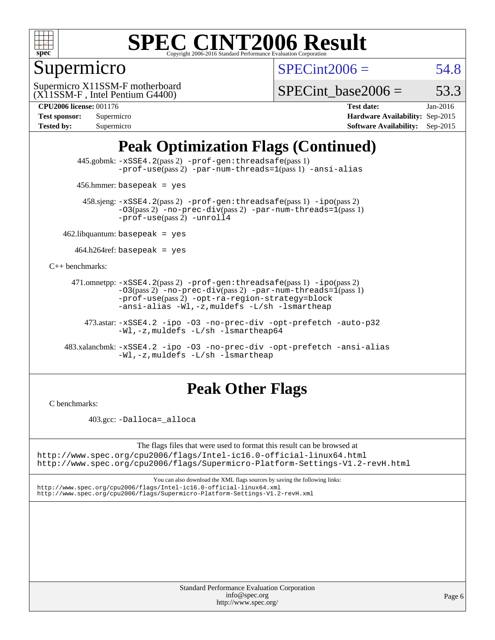

## Supermicro

 $SPECint2006 = 54.8$  $SPECint2006 = 54.8$ 

(X11SSM-F , Intel Pentium G4400) Supermicro X11SSM-F motherboard

SPECint base2006 =  $53.3$ 

#### **[CPU2006 license:](http://www.spec.org/auto/cpu2006/Docs/result-fields.html#CPU2006license)** 001176 **[Test date:](http://www.spec.org/auto/cpu2006/Docs/result-fields.html#Testdate)** Jan-2016

| <b>Test sponsor:</b> | Supermicro |
|----------------------|------------|
| <b>Tested by:</b>    | Supermicro |

**[Hardware Availability:](http://www.spec.org/auto/cpu2006/Docs/result-fields.html#HardwareAvailability)** Sep-2015 **[Software Availability:](http://www.spec.org/auto/cpu2006/Docs/result-fields.html#SoftwareAvailability)** Sep-2015

## **[Peak Optimization Flags \(Continued\)](http://www.spec.org/auto/cpu2006/Docs/result-fields.html#PeakOptimizationFlags)**

 445.gobmk: [-xSSE4.2](http://www.spec.org/cpu2006/results/res2016q1/cpu2006-20160107-38629.flags.html#user_peakPASS2_CFLAGSPASS2_LDCFLAGS445_gobmk_f-xSSE42_f91528193cf0b216347adb8b939d4107)(pass 2) [-prof-gen:threadsafe](http://www.spec.org/cpu2006/results/res2016q1/cpu2006-20160107-38629.flags.html#user_peakPASS1_CFLAGSPASS1_LDCFLAGS445_gobmk_prof_gen_21a26eb79f378b550acd7bec9fe4467a)(pass 1) [-prof-use](http://www.spec.org/cpu2006/results/res2016q1/cpu2006-20160107-38629.flags.html#user_peakPASS2_CFLAGSPASS2_LDCFLAGS445_gobmk_prof_use_bccf7792157ff70d64e32fe3e1250b55)(pass2) [-par-num-threads=1](http://www.spec.org/cpu2006/results/res2016q1/cpu2006-20160107-38629.flags.html#user_peakPASS1_CFLAGSPASS1_LDCFLAGS445_gobmk_par_num_threads_786a6ff141b4e9e90432e998842df6c2)(pass1) [-ansi-alias](http://www.spec.org/cpu2006/results/res2016q1/cpu2006-20160107-38629.flags.html#user_peakCOPTIMIZE445_gobmk_f-ansi-alias)

456.hmmer: basepeak = yes

 458.sjeng: [-xSSE4.2](http://www.spec.org/cpu2006/results/res2016q1/cpu2006-20160107-38629.flags.html#user_peakPASS2_CFLAGSPASS2_LDCFLAGS458_sjeng_f-xSSE42_f91528193cf0b216347adb8b939d4107)(pass 2) [-prof-gen:threadsafe](http://www.spec.org/cpu2006/results/res2016q1/cpu2006-20160107-38629.flags.html#user_peakPASS1_CFLAGSPASS1_LDCFLAGS458_sjeng_prof_gen_21a26eb79f378b550acd7bec9fe4467a)(pass 1) [-ipo](http://www.spec.org/cpu2006/results/res2016q1/cpu2006-20160107-38629.flags.html#user_peakPASS2_CFLAGSPASS2_LDCFLAGS458_sjeng_f-ipo)(pass 2)  $-03$ (pass 2)  $-$ no-prec-div(pass 2) [-par-num-threads=1](http://www.spec.org/cpu2006/results/res2016q1/cpu2006-20160107-38629.flags.html#user_peakPASS1_CFLAGSPASS1_LDCFLAGS458_sjeng_par_num_threads_786a6ff141b4e9e90432e998842df6c2)(pass 1) [-prof-use](http://www.spec.org/cpu2006/results/res2016q1/cpu2006-20160107-38629.flags.html#user_peakPASS2_CFLAGSPASS2_LDCFLAGS458_sjeng_prof_use_bccf7792157ff70d64e32fe3e1250b55)(pass 2) [-unroll4](http://www.spec.org/cpu2006/results/res2016q1/cpu2006-20160107-38629.flags.html#user_peakCOPTIMIZE458_sjeng_f-unroll_4e5e4ed65b7fd20bdcd365bec371b81f)

 $462$ .libquantum: basepeak = yes

 $464.h264$ ref: basepeak = yes

[C++ benchmarks:](http://www.spec.org/auto/cpu2006/Docs/result-fields.html#CXXbenchmarks)

 471.omnetpp: [-xSSE4.2](http://www.spec.org/cpu2006/results/res2016q1/cpu2006-20160107-38629.flags.html#user_peakPASS2_CXXFLAGSPASS2_LDCXXFLAGS471_omnetpp_f-xSSE42_f91528193cf0b216347adb8b939d4107)(pass 2) [-prof-gen:threadsafe](http://www.spec.org/cpu2006/results/res2016q1/cpu2006-20160107-38629.flags.html#user_peakPASS1_CXXFLAGSPASS1_LDCXXFLAGS471_omnetpp_prof_gen_21a26eb79f378b550acd7bec9fe4467a)(pass 1) [-ipo](http://www.spec.org/cpu2006/results/res2016q1/cpu2006-20160107-38629.flags.html#user_peakPASS2_CXXFLAGSPASS2_LDCXXFLAGS471_omnetpp_f-ipo)(pass 2)  $-03(pass 2)$  [-no-prec-div](http://www.spec.org/cpu2006/results/res2016q1/cpu2006-20160107-38629.flags.html#user_peakPASS2_CXXFLAGSPASS2_LDCXXFLAGS471_omnetpp_f-no-prec-div)(pass 2) [-par-num-threads=1](http://www.spec.org/cpu2006/results/res2016q1/cpu2006-20160107-38629.flags.html#user_peakPASS1_CXXFLAGSPASS1_LDCXXFLAGS471_omnetpp_par_num_threads_786a6ff141b4e9e90432e998842df6c2)(pass 1) [-prof-use](http://www.spec.org/cpu2006/results/res2016q1/cpu2006-20160107-38629.flags.html#user_peakPASS2_CXXFLAGSPASS2_LDCXXFLAGS471_omnetpp_prof_use_bccf7792157ff70d64e32fe3e1250b55)(pass 2) [-opt-ra-region-strategy=block](http://www.spec.org/cpu2006/results/res2016q1/cpu2006-20160107-38629.flags.html#user_peakCXXOPTIMIZE471_omnetpp_f-opt-ra-region-strategy_5382940c29ea30302d682fc74bfe0147)  [-ansi-alias](http://www.spec.org/cpu2006/results/res2016q1/cpu2006-20160107-38629.flags.html#user_peakCXXOPTIMIZE471_omnetpp_f-ansi-alias) [-Wl,-z,muldefs](http://www.spec.org/cpu2006/results/res2016q1/cpu2006-20160107-38629.flags.html#user_peakEXTRA_LDFLAGS471_omnetpp_link_force_multiple1_74079c344b956b9658436fd1b6dd3a8a) [-L/sh -lsmartheap](http://www.spec.org/cpu2006/results/res2016q1/cpu2006-20160107-38629.flags.html#user_peakEXTRA_LIBS471_omnetpp_SmartHeap_32f6c82aa1ed9c52345d30cf6e4a0499)

 473.astar: [-xSSE4.2](http://www.spec.org/cpu2006/results/res2016q1/cpu2006-20160107-38629.flags.html#user_peakCXXOPTIMIZE473_astar_f-xSSE42_f91528193cf0b216347adb8b939d4107) [-ipo](http://www.spec.org/cpu2006/results/res2016q1/cpu2006-20160107-38629.flags.html#user_peakCXXOPTIMIZE473_astar_f-ipo) [-O3](http://www.spec.org/cpu2006/results/res2016q1/cpu2006-20160107-38629.flags.html#user_peakCXXOPTIMIZE473_astar_f-O3) [-no-prec-div](http://www.spec.org/cpu2006/results/res2016q1/cpu2006-20160107-38629.flags.html#user_peakCXXOPTIMIZE473_astar_f-no-prec-div) [-opt-prefetch](http://www.spec.org/cpu2006/results/res2016q1/cpu2006-20160107-38629.flags.html#user_peakCXXOPTIMIZE473_astar_f-opt-prefetch) [-auto-p32](http://www.spec.org/cpu2006/results/res2016q1/cpu2006-20160107-38629.flags.html#user_peakCXXOPTIMIZE473_astar_f-auto-p32) [-Wl,-z,muldefs](http://www.spec.org/cpu2006/results/res2016q1/cpu2006-20160107-38629.flags.html#user_peakEXTRA_LDFLAGS473_astar_link_force_multiple1_74079c344b956b9658436fd1b6dd3a8a) [-L/sh -lsmartheap64](http://www.spec.org/cpu2006/results/res2016q1/cpu2006-20160107-38629.flags.html#user_peakEXTRA_LIBS473_astar_SmartHeap64_ed4ef857ce90951921efb0d91eb88472)

 483.xalancbmk: [-xSSE4.2](http://www.spec.org/cpu2006/results/res2016q1/cpu2006-20160107-38629.flags.html#user_peakCXXOPTIMIZE483_xalancbmk_f-xSSE42_f91528193cf0b216347adb8b939d4107) [-ipo](http://www.spec.org/cpu2006/results/res2016q1/cpu2006-20160107-38629.flags.html#user_peakCXXOPTIMIZE483_xalancbmk_f-ipo) [-O3](http://www.spec.org/cpu2006/results/res2016q1/cpu2006-20160107-38629.flags.html#user_peakCXXOPTIMIZE483_xalancbmk_f-O3) [-no-prec-div](http://www.spec.org/cpu2006/results/res2016q1/cpu2006-20160107-38629.flags.html#user_peakCXXOPTIMIZE483_xalancbmk_f-no-prec-div) [-opt-prefetch](http://www.spec.org/cpu2006/results/res2016q1/cpu2006-20160107-38629.flags.html#user_peakCXXOPTIMIZE483_xalancbmk_f-opt-prefetch) [-ansi-alias](http://www.spec.org/cpu2006/results/res2016q1/cpu2006-20160107-38629.flags.html#user_peakCXXOPTIMIZE483_xalancbmk_f-ansi-alias) [-Wl,-z,muldefs](http://www.spec.org/cpu2006/results/res2016q1/cpu2006-20160107-38629.flags.html#user_peakEXTRA_LDFLAGS483_xalancbmk_link_force_multiple1_74079c344b956b9658436fd1b6dd3a8a) [-L/sh -lsmartheap](http://www.spec.org/cpu2006/results/res2016q1/cpu2006-20160107-38629.flags.html#user_peakEXTRA_LIBS483_xalancbmk_SmartHeap_32f6c82aa1ed9c52345d30cf6e4a0499)

### **[Peak Other Flags](http://www.spec.org/auto/cpu2006/Docs/result-fields.html#PeakOtherFlags)**

[C benchmarks](http://www.spec.org/auto/cpu2006/Docs/result-fields.html#Cbenchmarks):

403.gcc: [-Dalloca=\\_alloca](http://www.spec.org/cpu2006/results/res2016q1/cpu2006-20160107-38629.flags.html#b403.gcc_peakEXTRA_CFLAGS_Dalloca_be3056838c12de2578596ca5467af7f3)

The flags files that were used to format this result can be browsed at <http://www.spec.org/cpu2006/flags/Intel-ic16.0-official-linux64.html> <http://www.spec.org/cpu2006/flags/Supermicro-Platform-Settings-V1.2-revH.html>

You can also download the XML flags sources by saving the following links: <http://www.spec.org/cpu2006/flags/Intel-ic16.0-official-linux64.xml>

<http://www.spec.org/cpu2006/flags/Supermicro-Platform-Settings-V1.2-revH.xml>